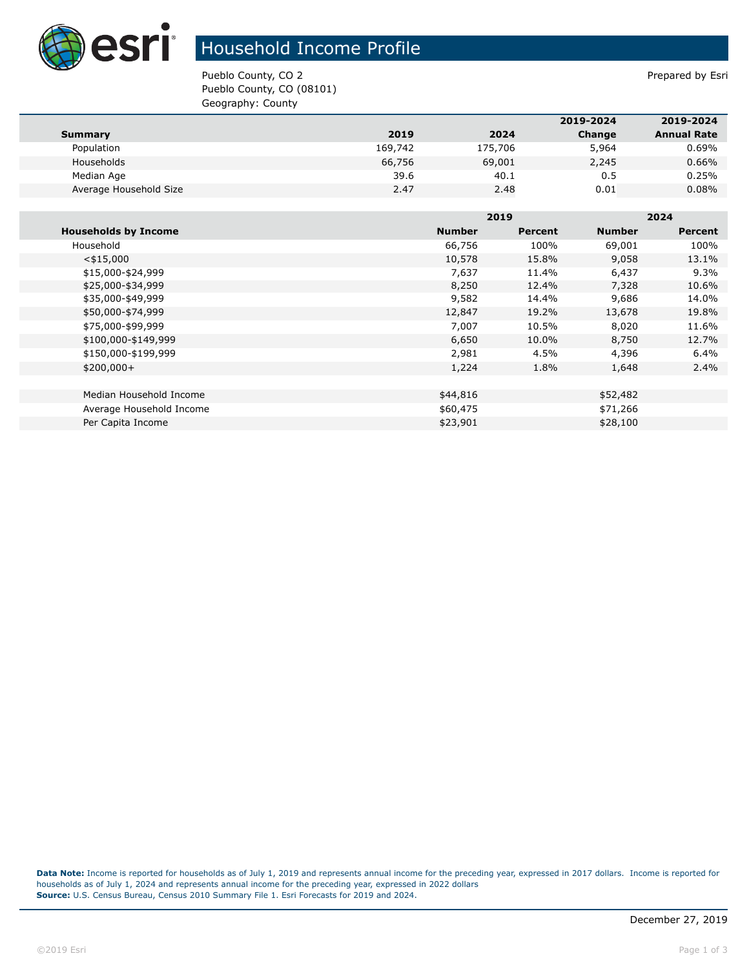

## Household Income Profile

Pueblo County, CO 2 Prepared by Esri Pueblo County, CO (08101) Geography: County

|                        |         |         | 2019-2024 | 2019-2024          |
|------------------------|---------|---------|-----------|--------------------|
| <b>Summary</b>         | 2019    | 2024    | Change    | <b>Annual Rate</b> |
| Population             | 169,742 | 175,706 | 5,964     | 0.69%              |
| Households             | 66,756  | 69,001  | 2,245     | 0.66%              |
| Median Age             | 39.6    | 40.1    | 0.5       | 0.25%              |
| Average Household Size | 2.47    | 2.48    | 0.01      | 0.08%              |

|                             |               | 2019    |               | 2024           |  |
|-----------------------------|---------------|---------|---------------|----------------|--|
| <b>Households by Income</b> | <b>Number</b> | Percent | <b>Number</b> | <b>Percent</b> |  |
| Household                   | 66,756        | 100%    | 69,001        | 100%           |  |
| $<$ \$15,000                | 10,578        | 15.8%   | 9,058         | 13.1%          |  |
| \$15,000-\$24,999           | 7,637         | 11.4%   | 6,437         | $9.3\%$        |  |
| \$25,000-\$34,999           | 8,250         | 12.4%   | 7,328         | 10.6%          |  |
| \$35,000-\$49,999           | 9,582         | 14.4%   | 9,686         | 14.0%          |  |
| \$50,000-\$74,999           | 12,847        | 19.2%   | 13,678        | 19.8%          |  |
| \$75,000-\$99,999           | 7,007         | 10.5%   | 8,020         | 11.6%          |  |
| \$100,000-\$149,999         | 6,650         | 10.0%   | 8,750         | 12.7%          |  |
| \$150,000-\$199,999         | 2,981         | 4.5%    | 4,396         | 6.4%           |  |
| $$200,000+$                 | 1,224         | 1.8%    | 1,648         | $2.4\%$        |  |
|                             |               |         |               |                |  |
| Median Household Income     | \$44,816      |         | \$52,482      |                |  |
| Average Household Income    | \$60,475      |         | \$71,266      |                |  |
| Per Capita Income           | \$23,901      |         | \$28,100      |                |  |

**Data Note:** Income is reported for households as of July 1, 2019 and represents annual income for the preceding year, expressed in 2017 dollars. Income is reported for households as of July 1, 2024 and represents annual income for the preceding year, expressed in 2022 dollars **Source:** U.S. Census Bureau, Census 2010 Summary File 1. Esri Forecasts for 2019 and 2024.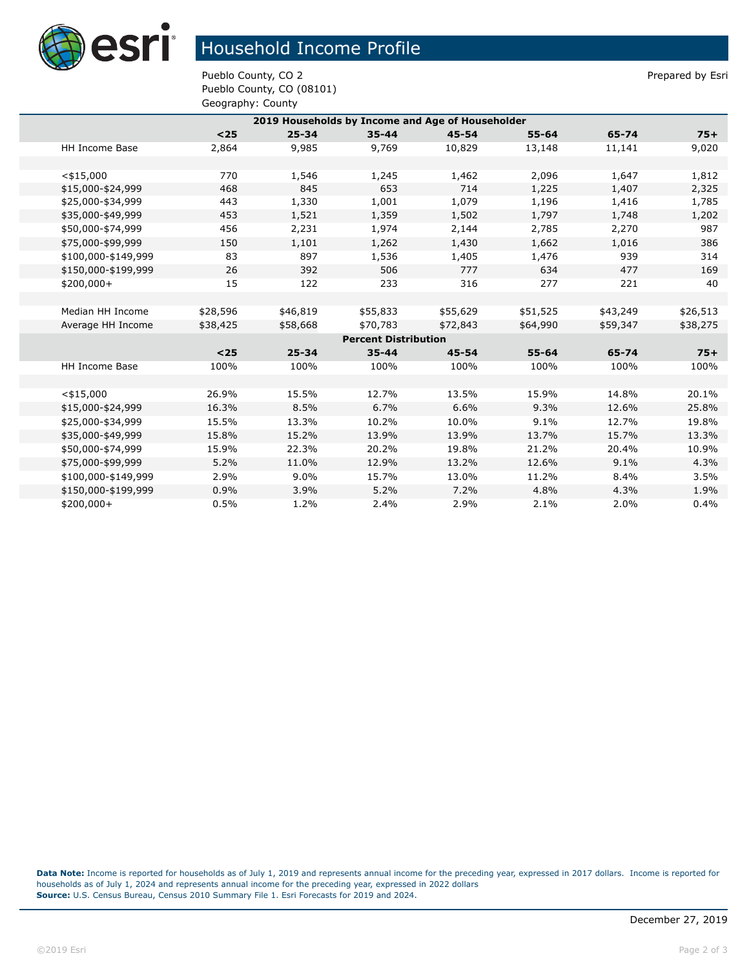

## Household Income Profile

Pueblo County, CO 2 Prepared by Esri Pueblo County, CO (08101) Geography: County

| 2019 Households by Income and Age of Householder |          |           |           |           |           |          |          |  |  |
|--------------------------------------------------|----------|-----------|-----------|-----------|-----------|----------|----------|--|--|
|                                                  | $25$     | $25 - 34$ | $35 - 44$ | $45 - 54$ | $55 - 64$ | 65-74    | $75+$    |  |  |
| HH Income Base                                   | 2,864    | 9,985     | 9,769     | 10,829    | 13,148    | 11,141   | 9,020    |  |  |
|                                                  |          |           |           |           |           |          |          |  |  |
| $<$ \$15,000                                     | 770      | 1,546     | 1,245     | 1,462     | 2,096     | 1,647    | 1,812    |  |  |
| \$15,000-\$24,999                                | 468      | 845       | 653       | 714       | 1,225     | 1,407    | 2,325    |  |  |
| \$25,000-\$34,999                                | 443      | 1,330     | 1,001     | 1,079     | 1,196     | 1,416    | 1,785    |  |  |
| \$35,000-\$49,999                                | 453      | 1,521     | 1,359     | 1,502     | 1,797     | 1,748    | 1,202    |  |  |
| \$50,000-\$74,999                                | 456      | 2,231     | 1,974     | 2,144     | 2,785     | 2,270    | 987      |  |  |
| \$75,000-\$99,999                                | 150      | 1,101     | 1,262     | 1,430     | 1,662     | 1,016    | 386      |  |  |
| \$100,000-\$149,999                              | 83       | 897       | 1,536     | 1,405     | 1,476     | 939      | 314      |  |  |
| \$150,000-\$199,999                              | 26       | 392       | 506       | 777       | 634       | 477      | 169      |  |  |
| \$200,000+                                       | 15       | 122       | 233       | 316       | 277       | 221      | 40       |  |  |
|                                                  |          |           |           |           |           |          |          |  |  |
| Median HH Income                                 | \$28,596 | \$46,819  | \$55,833  | \$55,629  | \$51,525  | \$43,249 | \$26,513 |  |  |
| Average HH Income                                | \$38,425 | \$58,668  | \$70,783  | \$72,843  | \$64,990  | \$59,347 | \$38,275 |  |  |
| <b>Percent Distribution</b>                      |          |           |           |           |           |          |          |  |  |
|                                                  | $<$ 25   | $25 - 34$ | $35 - 44$ | $45 - 54$ | $55 - 64$ | 65-74    | $75+$    |  |  |
| HH Income Base                                   | 100%     | 100%      | 100%      | 100%      | 100%      | 100%     | 100%     |  |  |
|                                                  |          |           |           |           |           |          |          |  |  |
| $<$ \$15,000                                     | 26.9%    | 15.5%     | 12.7%     | 13.5%     | 15.9%     | 14.8%    | 20.1%    |  |  |
| \$15,000-\$24,999                                | 16.3%    | 8.5%      | 6.7%      | 6.6%      | 9.3%      | 12.6%    | 25.8%    |  |  |
| \$25,000-\$34,999                                | 15.5%    | 13.3%     | 10.2%     | 10.0%     | 9.1%      | 12.7%    | 19.8%    |  |  |
| \$35,000-\$49,999                                | 15.8%    | 15.2%     | 13.9%     | 13.9%     | 13.7%     | 15.7%    | 13.3%    |  |  |
| \$50,000-\$74,999                                | 15.9%    | 22.3%     | 20.2%     | 19.8%     | 21.2%     | 20.4%    | 10.9%    |  |  |
| \$75,000-\$99,999                                | 5.2%     | 11.0%     | 12.9%     | 13.2%     | 12.6%     | 9.1%     | 4.3%     |  |  |
| \$100,000-\$149,999                              | 2.9%     | $9.0\%$   | 15.7%     | 13.0%     | 11.2%     | 8.4%     | 3.5%     |  |  |
| \$150,000-\$199,999                              | 0.9%     | 3.9%      | 5.2%      | 7.2%      | 4.8%      | 4.3%     | 1.9%     |  |  |
| \$200,000+                                       | 0.5%     | 1.2%      | 2.4%      | 2.9%      | 2.1%      | 2.0%     | 0.4%     |  |  |

**Data Note:** Income is reported for households as of July 1, 2019 and represents annual income for the preceding year, expressed in 2017 dollars. Income is reported for households as of July 1, 2024 and represents annual income for the preceding year, expressed in 2022 dollars **Source:** U.S. Census Bureau, Census 2010 Summary File 1. Esri Forecasts for 2019 and 2024.